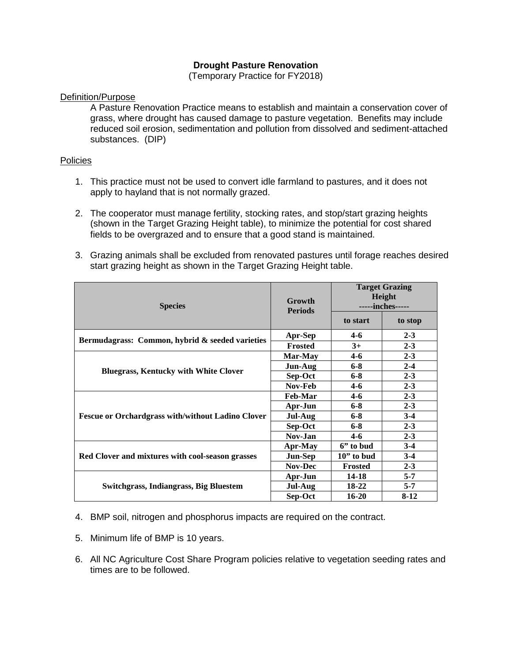## **Drought Pasture Renovation**

(Temporary Practice for FY2018)

## Definition/Purpose

A Pasture Renovation Practice means to establish and maintain a conservation cover of grass, where drought has caused damage to pasture vegetation. Benefits may include reduced soil erosion, sedimentation and pollution from dissolved and sediment-attached substances. (DIP)

## Policies

- 1. This practice must not be used to convert idle farmland to pastures, and it does not apply to hayland that is not normally grazed.
- 2. The cooperator must manage fertility, stocking rates, and stop/start grazing heights (shown in the Target Grazing Height table), to minimize the potential for cost shared fields to be overgrazed and to ensure that a good stand is maintained.
- 3. Grazing animals shall be excluded from renovated pastures until forage reaches desired start grazing height as shown in the Target Grazing Height table.

| <b>Species</b>                                           | Growth<br><b>Periods</b> | <b>Target Grazing</b><br>Height<br>-----inches----- |         |
|----------------------------------------------------------|--------------------------|-----------------------------------------------------|---------|
|                                                          |                          | to start                                            | to stop |
| Bermudagrass: Common, hybrid & seeded varieties          | Apr-Sep                  | $4 - 6$                                             | $2 - 3$ |
|                                                          | <b>Frosted</b>           | $3+$                                                | $2 - 3$ |
| <b>Bluegrass, Kentucky with White Clover</b>             | Mar-May                  | 4-6                                                 | $2 - 3$ |
|                                                          | Jun-Aug                  | $6 - 8$                                             | $2 - 4$ |
|                                                          | Sep-Oct                  | $6 - 8$                                             | $2 - 3$ |
|                                                          | Nov-Feb                  | $4-6$                                               | $2 - 3$ |
| <b>Fescue or Orchardgrass with/without Ladino Clover</b> | <b>Feb-Mar</b>           | $4 - 6$                                             | $2 - 3$ |
|                                                          | Apr-Jun                  | $6 - 8$                                             | $2 - 3$ |
|                                                          | Jul-Aug                  | $6 - 8$                                             | $3-4$   |
|                                                          | Sep-Oct                  | $6 - 8$                                             | $2 - 3$ |
|                                                          | Nov-Jan                  | $4-6$                                               | $2 - 3$ |
| Red Clover and mixtures with cool-season grasses         | Apr-May                  | 6" to bud                                           | $3-4$   |
|                                                          | <b>Jun-Sep</b>           | $10$ " to bud                                       | $3-4$   |
|                                                          | <b>Nov-Dec</b>           | <b>Frosted</b>                                      | $2 - 3$ |
| Switchgrass, Indiangrass, Big Bluestem                   | Apr-Jun                  | 14-18                                               | $5 - 7$ |
|                                                          | Jul-Aug                  | 18-22                                               | $5 - 7$ |
|                                                          | Sep-Oct                  | $16 - 20$                                           | $8-12$  |

4. BMP soil, nitrogen and phosphorus impacts are required on the contract.

- 5. Minimum life of BMP is 10 years.
- 6. All NC Agriculture Cost Share Program policies relative to vegetation seeding rates and times are to be followed.